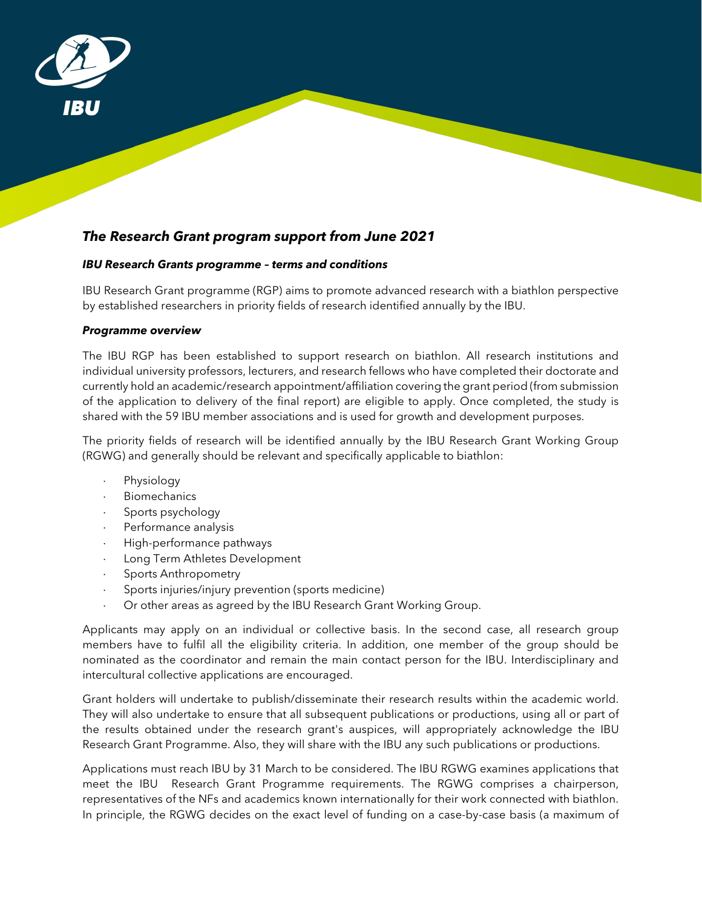

# *The Research Grant program support from June 2021*

## *IBU Research Grants programme – terms and conditions*

IBU Research Grant programme (RGP) aims to promote advanced research with a biathlon perspective by established researchers in priority fields of research identified annually by the IBU.

## *Programme overview*

The IBU RGP has been established to support research on biathlon. All research institutions and individual university professors, lecturers, and research fellows who have completed their doctorate and currently hold an academic/research appointment/affiliation covering the grant period (from submission of the application to delivery of the final report) are eligible to apply. Once completed, the study is shared with the 59 IBU member associations and is used for growth and development purposes.

The priority fields of research will be identified annually by the IBU Research Grant Working Group (RGWG) and generally should be relevant and specifically applicable to biathlon:

- Physiology
- ⋅ Biomechanics
- Sports psychology
- ⋅ Performance analysis
- ⋅ High-performance pathways
- Long Term Athletes Development
- Sports Anthropometry
- ⋅ Sports injuries/injury prevention (sports medicine)
- Or other areas as agreed by the IBU Research Grant Working Group.

Applicants may apply on an individual or collective basis. In the second case, all research group members have to fulfil all the eligibility criteria. In addition, one member of the group should be nominated as the coordinator and remain the main contact person for the IBU. Interdisciplinary and intercultural collective applications are encouraged.

Grant holders will undertake to publish/disseminate their research results within the academic world. They will also undertake to ensure that all subsequent publications or productions, using all or part of the results obtained under the research grant's auspices, will appropriately acknowledge the IBU Research Grant Programme. Also, they will share with the IBU any such publications or productions.

Applications must reach IBU by 31 March to be considered. The IBU RGWG examines applications that meet the IBU Research Grant Programme requirements. The RGWG comprises a chairperson, representatives of the NFs and academics known internationally for their work connected with biathlon. In principle, the RGWG decides on the exact level of funding on a case-by-case basis (a maximum of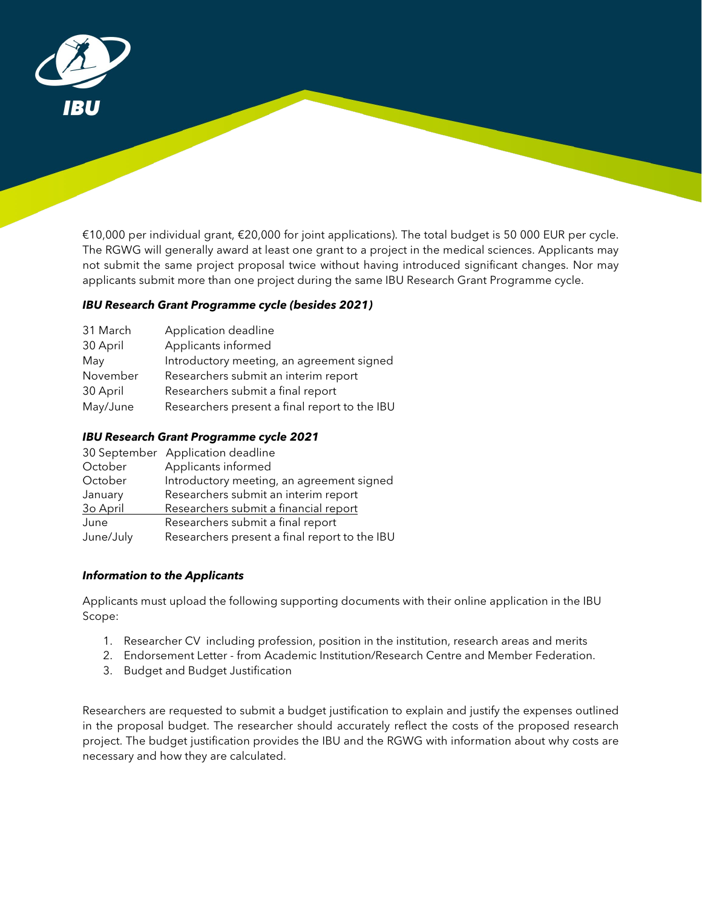

€10,000 per individual grant, €20,000 for joint applications). The total budget is 50 000 EUR per cycle. The RGWG will generally award at least one grant to a project in the medical sciences. Applicants may not submit the same project proposal twice without having introduced significant changes. Nor may applicants submit more than one project during the same IBU Research Grant Programme cycle.

# *IBU Research Grant Programme cycle (besides 2021)*

| 31 March | Application deadline                          |
|----------|-----------------------------------------------|
| 30 April | Applicants informed                           |
| May      | Introductory meeting, an agreement signed     |
| November | Researchers submit an interim report          |
| 30 April | Researchers submit a final report             |
| May/June | Researchers present a final report to the IBU |

## *IBU Research Grant Programme cycle 2021*

|           | 30 September Application deadline             |
|-----------|-----------------------------------------------|
| October   | Applicants informed                           |
| October   | Introductory meeting, an agreement signed     |
| January   | Researchers submit an interim report          |
| 30 April  | Researchers submit a financial report         |
| June      | Researchers submit a final report             |
| June/July | Researchers present a final report to the IBU |

## *Information to the Applicants*

Applicants must upload the following supporting documents with their online application in the IBU Scope:

- 1. Researcher CV including profession, position in the institution, research areas and merits
- 2. Endorsement Letter from Academic Institution/Research Centre and Member Federation.
- 3. Budget and Budget Justification

Researchers are requested to submit a budget justification to explain and justify the expenses outlined in the proposal budget. The researcher should accurately reflect the costs of the proposed research project. The budget justification provides the IBU and the RGWG with information about why costs are necessary and how they are calculated.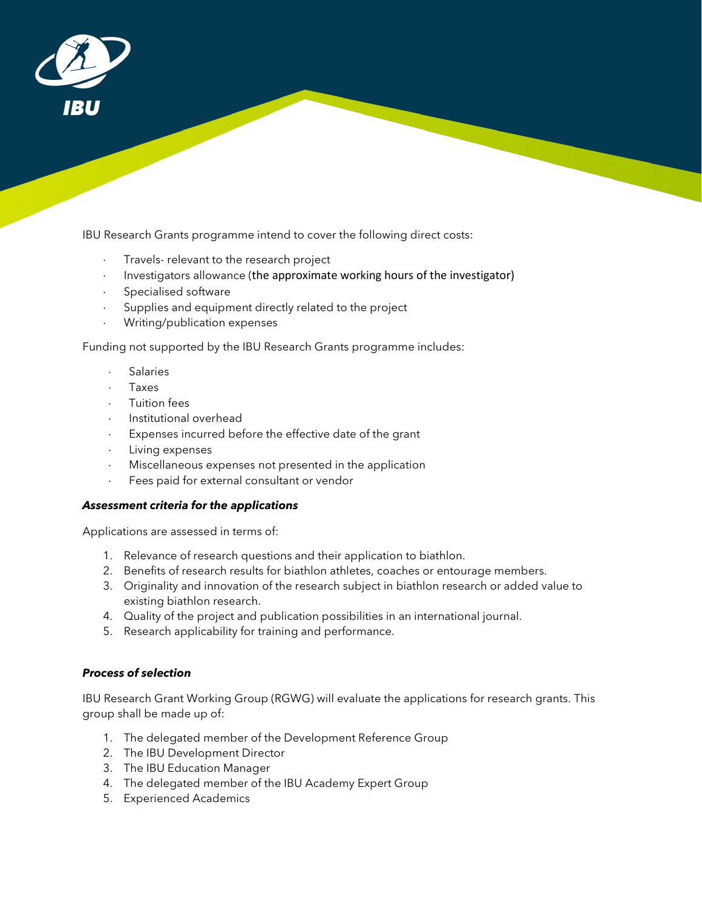

IBU Research Grants programme intend to cover the following direct costs:

- Travels- relevant to the research project
- Investigators allowance (the approximate working hours of the investigator)
- Specialised software
- Supplies and equipment directly related to the project
- ⋅ Writing/publication expenses

Funding not supported by the IBU Research Grants programme includes:

- **Salaries**
- ⋅ Taxes
- ⋅ Tuition fees
- ⋅ Institutional overhead
- Expenses incurred before the effective date of the grant
- Living expenses
- Miscellaneous expenses not presented in the application
- Fees paid for external consultant or vendor

#### *Assessment criteria for the applications*

Applications are assessed in terms of:

- 1. Relevance of research questions and their application to biathlon.
- 2. Benefits of research results for biathlon athletes, coaches or entourage members.
- 3. Originality and innovation of the research subject in biathlon research or added value to existing biathlon research.
- 4. Quality of the project and publication possibilities in an international journal.
- 5. Research applicability for training and performance.

## *Process of selection*

IBU Research Grant Working Group (RGWG) will evaluate the applications for research grants. This group shall be made up of:

- 1. The delegated member of the Development Reference Group
- 2. The IBU Development Director
- 3. The IBU Education Manager
- 4. The delegated member of the IBU Academy Expert Group
- 5. Experienced Academics